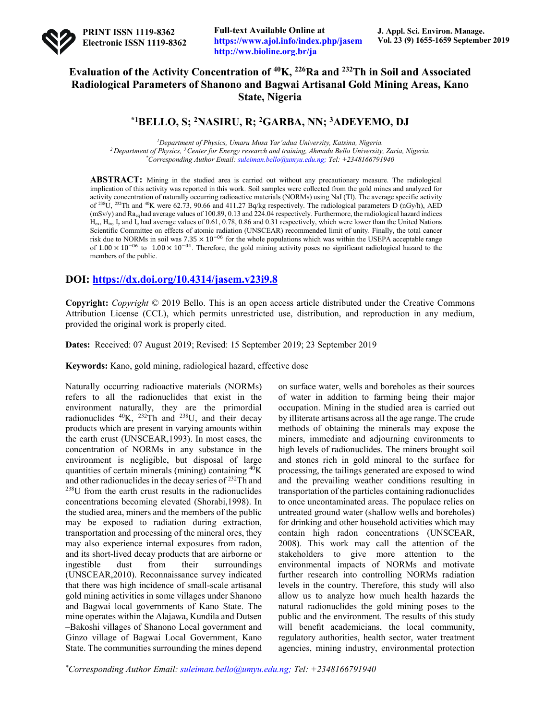

**Full-text Available Online at https://www.ajol.info/index.php/jasem http://ww.bioline.org.br/ja**

# **Evaluation of the Activity Concentration of 40K, 226Ra and 232Th in Soil and Associated Radiological Parameters of Shanono and Bagwai Artisanal Gold Mining Areas, Kano State, Nigeria**

## **\*1BELLO, S; 2NASIRU, R; 2GARBA, NN; 3ADEYEMO, DJ**

*1 Department of Physics, Umaru Musa Yar'adua University, Katsina, Nigeria. 2 Department of Physics, 3 Center for Energy research and training, Ahmadu Bello University, Zaria, Nigeria. \* Corresponding Author Email: suleiman.bello@umyu.edu.ng; Tel: +2348166791940*

**ABSTRACT:** Mining in the studied area is carried out without any precautionary measure. The radiological implication of this activity was reported in this work. Soil samples were collected from the gold mines and analyzed for activity concentration of naturally occurring radioactive materials (NORMs) using NaI (Tl). The average specific activity of 238U, 232Th and 40K were 62.73, 90.66 and 411.27 Bq/kg respectively. The radiological parameters D (nGy/h), AED  $(mSv/v)$  and Ra<sub>gg</sub> had average values of 100.89, 0.13 and 224.04 respectively. Furthermore, the radiological hazard indices  $H_{\text{ex}}$ ,  $H_{\text{in}}$ ,  $I_{\text{y}}$  and  $I_{\alpha}$  had average values of 0.61, 0.78, 0.86 and 0.31 respectively, which were lower than the United Nations Scientific Committee on effects of atomic radiation (UNSCEAR) recommended limit of unity. Finally, the total cancer risk due to NORMs in soil was  $7.35 \times 10^{-06}$  for the whole populations which was within the USEPA acceptable range of  $1.00 \times 10^{-06}$  to  $1.00 \times 10^{-04}$ . Therefore, the gold mining activity poses no significant radiological hazard to the members of the public.

## **DOI: https://dx.doi.org/10.4314/jasem.v23i9.8**

**Copyright:** *Copyright* © 2019 Bello. This is an open access article distributed under the Creative Commons Attribution License (CCL), which permits unrestricted use, distribution, and reproduction in any medium, provided the original work is properly cited.

**Dates:** Received: 07 August 2019; Revised: 15 September 2019; 23 September 2019

**Keywords:** Kano, gold mining, radiological hazard, effective dose

Naturally occurring radioactive materials (NORMs) refers to all the radionuclides that exist in the environment naturally, they are the primordial radionuclides  $^{40}K$ ,  $^{232}Th$  and  $^{238}U$ , and their decay products which are present in varying amounts within the earth crust (UNSCEAR,1993). In most cases, the concentration of NORMs in any substance in the environment is negligible, but disposal of large quantities of certain minerals (mining) containing 40K and other radionuclides in the decay series of 232Th and 238U from the earth crust results in the radionuclides concentrations becoming elevated (Shorabi,1998). In the studied area, miners and the members of the public may be exposed to radiation during extraction, transportation and processing of the mineral ores, they may also experience internal exposures from radon, and its short-lived decay products that are airborne or ingestible dust from their surroundings (UNSCEAR,2010). Reconnaissance survey indicated that there was high incidence of small-scale artisanal gold mining activities in some villages under Shanono and Bagwai local governments of Kano State. The mine operates within the Alajawa, Kundila and Dutsen –Bakoshi villages of Shanono Local government and Ginzo village of Bagwai Local Government, Kano State. The communities surrounding the mines depend

on surface water, wells and boreholes as their sources of water in addition to farming being their major occupation. Mining in the studied area is carried out by illiterate artisans across all the age range. The crude methods of obtaining the minerals may expose the miners, immediate and adjourning environments to high levels of radionuclides. The miners brought soil and stones rich in gold mineral to the surface for processing, the tailings generated are exposed to wind and the prevailing weather conditions resulting in transportation of the particles containing radionuclides to once uncontaminated areas. The populace relies on untreated ground water (shallow wells and boreholes) for drinking and other household activities which may contain high radon concentrations (UNSCEAR, 2008). This work may call the attention of the stakeholders to give more attention to the environmental impacts of NORMs and motivate further research into controlling NORMs radiation levels in the country. Therefore, this study will also allow us to analyze how much health hazards the natural radionuclides the gold mining poses to the public and the environment. The results of this study will benefit academicians, the local community, regulatory authorities, health sector, water treatment agencies, mining industry, environmental protection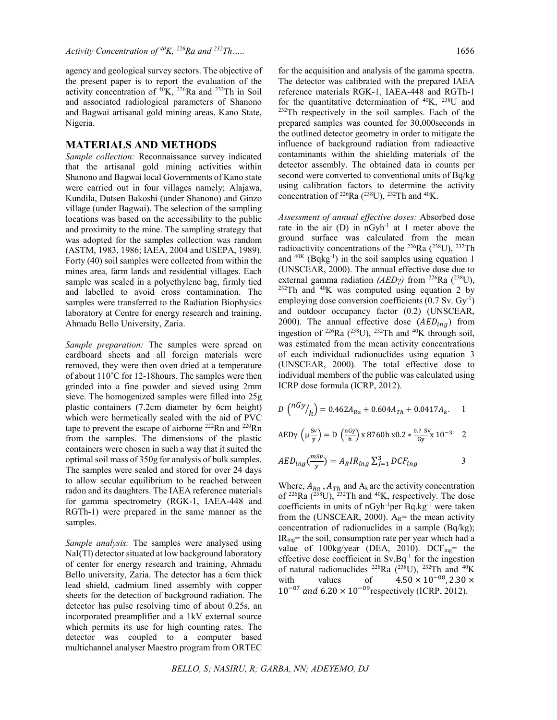#### **MATERIALS AND METHODS**

*Sample collection:* Reconnaissance survey indicated that the artisanal gold mining activities within Shanono and Bagwai local Governments of Kano state were carried out in four villages namely; Alajawa, Kundila, Dutsen Bakoshi (under Shanono) and Ginzo village (under Bagwai). The selection of the sampling locations was based on the accessibility to the public and proximity to the mine. The sampling strategy that was adopted for the samples collection was random (ASTM, 1983, 1986; IAEA, 2004 and USEPA, 1989). Forty (40) soil samples were collected from within the mines area, farm lands and residential villages. Each sample was sealed in a polyethylene bag, firmly tied and labelled to avoid cross contamination. The samples were transferred to the Radiation Biophysics laboratory at Centre for energy research and training, Ahmadu Bello University, Zaria.

*Sample preparation:* The samples were spread on cardboard sheets and all foreign materials were removed, they were then oven dried at a temperature of about 110˚C for 12-18hours. The samples were then grinded into a fine powder and sieved using 2mm sieve. The homogenized samples were filled into 25g plastic containers (7.2cm diameter by 6cm height) which were hermetically sealed with the aid of PVC tape to prevent the escape of airborne  $^{222}$ Rn and  $^{220}$ Rn from the samples. The dimensions of the plastic containers were chosen in such a way that it suited the optimal soil mass of 350g for analysis of bulk samples. The samples were sealed and stored for over 24 days to allow secular equilibrium to be reached between radon and its daughters. The IAEA reference materials for gamma spectrometry (RGK-1, IAEA-448 and RGTh-1) were prepared in the same manner as the samples.

*Sample analysis:* The samples were analysed using NaI(Tl) detector situated at low background laboratory of center for energy research and training, Ahmadu Bello university, Zaria. The detector has a 6cm thick lead shield, cadmium lined assembly with copper sheets for the detection of background radiation. The detector has pulse resolving time of about 0.25s, an incorporated preamplifier and a 1kV external source which permits its use for high counting rates. The detector was coupled to a computer based multichannel analyser Maestro program from ORTEC

for the acquisition and analysis of the gamma spectra. The detector was calibrated with the prepared IAEA reference materials RGK-1, IAEA-448 and RGTh-1 for the quantitative determination of  $^{40}K$ ,  $^{238}U$  and  $232$ Th respectively in the soil samples. Each of the prepared samples was counted for 30,000seconds in the outlined detector geometry in order to mitigate the influence of background radiation from radioactive contaminants within the shielding materials of the detector assembly. The obtained data in counts per second were converted to conventional units of Bq/kg using calibration factors to determine the activity concentration of <sup>226</sup>Ra (<sup>238</sup>U), <sup>232</sup>Th and <sup>40</sup>K.

*Assessment of annual effective doses:* Absorbed dose rate in the air  $(D)$  in nGyh<sup>-1</sup> at 1 meter above the ground surface was calculated from the mean radioactivity concentrations of the <sup>226</sup>Ra  $(^{238}U)$ , <sup>232</sup>Th and  $40K$  (Bqkg<sup>-1</sup>) in the soil samples using equation 1 (UNSCEAR, 2000). The annual effective dose due to external gamma radiation (AEDγ) from <sup>226</sup>Ra (<sup>238</sup>U), 232Th and 40K was computed using equation 2 by employing dose conversion coefficients  $(0.7 \text{ Sv. Gy}^{-1})$ and outdoor occupancy factor (0.2) (UNSCEAR, 2000). The annual effective dose  $(AED<sub>ina</sub>)$  from ingestion of <sup>226</sup>Ra (<sup>238</sup>U), <sup>232</sup>Th and <sup>40</sup>K through soil, was estimated from the mean activity concentrations of each individual radionuclides using equation 3 (UNSCEAR, 2000). The total effective dose to individual members of the public was calculated using ICRP dose formula (ICRP, 2012).

$$
D\left(\frac{nGy}{h}\right) = 0.462A_{Ra} + 0.604A_{Th} + 0.0417A_k.
$$
 1

$$
AED\gamma \, \left(\mu \frac{sv}{y}\right) = D\,\left(\frac{nGy}{h}\right)x\,8760h\,x0.2 * \frac{0.7Sv}{Gy}x\,10^{-3} \quad 2
$$

$$
AED_{ing}\left(\frac{mSv}{y}\right) = A_RIR_{ing}\sum_{j=1}^{3} DCF_{ing}
$$

Where,  $A_{Ra}$ ,  $A_{Th}$  and  $A_k$  are the activity concentration of  $226Ra$  ( $238U$ ),  $232Th$  and  $40K$ , respectively. The dose coefficients in units of nGyh-1 per Bq.kg-1 were taken from the (UNSCEAR, 2000).  $A_R$ = the mean activity concentration of radionuclides in a sample (Bq/kg);  $IR_{ing}$ = the soil, consumption rate per year which had a value of 100kg/year (DEA, 2010). DCF<sub>ing</sub>= the effective dose coefficient in Sv.Bq-1 for the ingestion of natural radionuclides <sup>226</sup>Ra (<sup>238</sup>U), <sup>232</sup>Th and <sup>40</sup>K with values of  $4.50 \times 10^{-08}$ , 2.30  $\times$  $10^{-07}$  and  $6.20 \times 10^{-09}$  respectively (ICRP, 2012).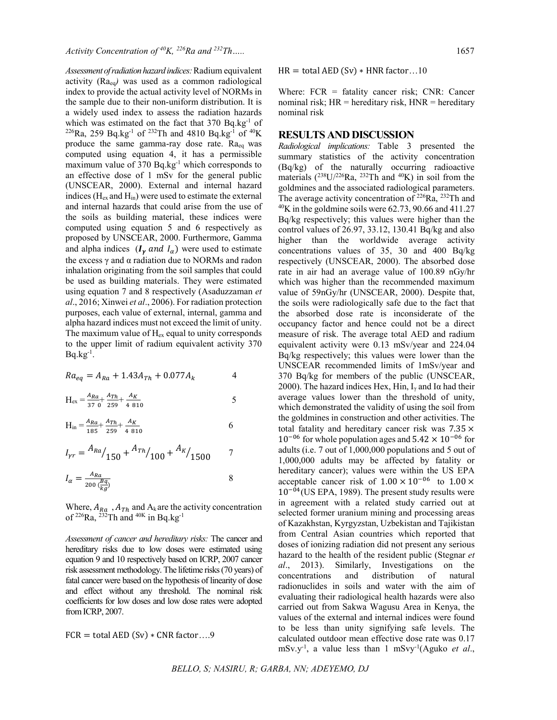*Assessment of radiation hazard indices:*Radium equivalent activity (Raeq*)* was used as a common radiological index to provide the actual activity level of NORMs in the sample due to their non-uniform distribution. It is a widely used index to assess the radiation hazards which was estimated on the fact that  $370$  Bq.kg<sup>-1</sup> of  $226$ Ra, 259 Bq.kg<sup>-1</sup> of  $232$ Th and 4810 Bq.kg<sup>-1</sup> of  $40$ K produce the same gamma-ray dose rate. Raeq was computed using equation 4, it has a permissible maximum value of 370 Bq.kg<sup>-1</sup> which corresponds to an effective dose of 1 mSv for the general public (UNSCEAR, 2000). External and internal hazard indices ( $H_{ex}$  and  $H_{in}$ ) were used to estimate the external and internal hazards that could arise from the use of the soils as building material, these indices were computed using equation 5 and 6 respectively as proposed by UNSCEAR, 2000. Furthermore, Gamma and alpha indices  $(I_{\gamma}$  and  $I_{\alpha}$ ) were used to estimate the excess  $γ$  and  $α$  radiation due to NORMs and radon inhalation originating from the soil samples that could be used as building materials. They were estimated using equation 7 and 8 respectively (Asaduzzaman *et al*., 2016; Xinwei *et al*., 2006). For radiation protection purposes, each value of external, internal, gamma and alpha hazard indices must not exceed the limit of unity. The maximum value of  $H_{ex}$  equal to unity corresponds to the upper limit of radium equivalent activity 370  $Bq.kg^{-1}$ .

$$
Ra_{eq} = A_{Ra} + 1.43A_{Th} + 0.077A_k
$$

$$
H_{ex} = \frac{A_{Ra}}{370} + \frac{A_{Th}}{259} + \frac{A_K}{4810}
$$
 5

$$
H_{in} = \frac{A_{Ra}}{185} + \frac{A_{Th}}{259} + \frac{A_K}{4810}
$$
 6

$$
I_{\gamma r} = \frac{A_{Ra}}{150} + \frac{A_{Th}}{100} + \frac{A_K}{1500} \qquad \quad 7
$$

$$
I_{\alpha} = \frac{A_{Ra}}{200 \left(\frac{Bq}{kg}\right)}\tag{8}
$$

Where,  $A_{Ra}$ ,  $A_{Th}$  and  $A_k$  are the activity concentration of  ${}^{226}Ra$ ,  ${}^{232}Th$  and  ${}^{40K}$  in Bq.kg<sup>-1</sup>

*Assessment of cancer and hereditary risks:* The cancer and hereditary risks due to low doses were estimated using equation 9 and 10 respectively based on ICRP, 2007 cancer risk assessment methodology. The lifetime risks (70 years) of fatal cancer were based on the hypothesis of linearity of dose and effect without any threshold. The nominal risk coefficients for low doses and low dose rates were adopted from ICRP, 2007.

$$
FCR = total AED (Sv) * CNR factor...9
$$

 $HR = total AED (Sv) * HNR factor...10$ 

Where:  $FCR = \text{fatality cancer risk}$ ;  $CNR$ : Cancer nominal risk;  $HR = hereditary risk$ ,  $HNR = hereditary$ nominal risk

### **RESULTS AND DISCUSSION**

*Radiological implications:* Table 3 presented the summary statistics of the activity concentration (Bq/kg) of the naturally occurring radioactive materials  $(^{238}U/^{226}Ra, ^{232}Th$  and  $^{40}K)$  in soil from the goldmines and the associated radiological parameters. The average activity concentration of  $^{226}$ Ra,  $^{232}$ Th and  $^{40}$ K in the goldmine soils were 62.73, 90.66 and 411.27 Bq/kg respectively; this values were higher than the control values of 26.97, 33.12, 130.41 Bq/kg and also higher than the worldwide average activity concentrations values of 35, 30 and 400 Bq/kg respectively (UNSCEAR, 2000). The absorbed dose rate in air had an average value of 100.89 nGy/hr which was higher than the recommended maximum value of 59nGy/hr (UNSCEAR, 2000). Despite that, the soils were radiologically safe due to the fact that the absorbed dose rate is inconsiderate of the occupancy factor and hence could not be a direct measure of risk. The average total AED and radium equivalent activity were 0.13 mSv/year and 224.04 Bq/kg respectively; this values were lower than the UNSCEAR recommended limits of 1mSv/year and 370 Bq/kg for members of the public (UNSCEAR, 2000). The hazard indices Hex, Hin,  $I_{\gamma}$  and I $\alpha$  had their average values lower than the threshold of unity, which demonstrated the validity of using the soil from the goldmines in construction and other activities. The total fatality and hereditary cancer risk was  $7.35 \times$  $10^{-06}$  for whole population ages and  $5.42 \times 10^{-06}$  for adults (i.e. 7 out of 1,000,000 populations and 5 out of 1,000,000 adults may be affected by fatality or hereditary cancer); values were within the US EPA acceptable cancer risk of  $1.00 \times 10^{-06}$  to  $1.00 \times$  $10^{-04}$ (US EPA, 1989). The present study results were in agreement with a related study carried out at selected former uranium mining and processing areas of Kazakhstan, Kyrgyzstan, Uzbekistan and Tajikistan from Central Asian countries which reported that doses of ionizing radiation did not present any serious hazard to the health of the resident public (Stegnar *et al*., 2013). Similarly, Investigations on the concentrations and distribution of natural radionuclides in soils and water with the aim of evaluating their radiological health hazards were also carried out from Sakwa Wagusu Area in Kenya, the values of the external and internal indices were found to be less than unity signifying safe levels. The calculated outdoor mean effective dose rate was 0.17 mSv.y-1 , a value less than 1 mSvy-1 (Aguko *et al*.,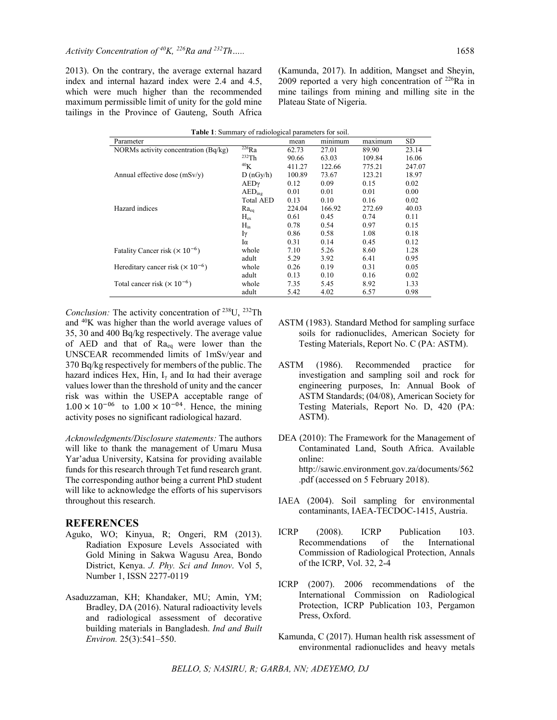2013). On the contrary, the average external hazard index and internal hazard index were 2.4 and 4.5, which were much higher than the recommended maximum permissible limit of unity for the gold mine tailings in the Province of Gauteng, South Africa

(Kamunda, 2017). In addition, Mangset and Sheyin, 2009 reported a very high concentration of  $^{226}$ Ra in mine tailings from mining and milling site in the Plateau State of Nigeria.

| Parameter                                       |                    | mean   | minimum | maximum | SD     |
|-------------------------------------------------|--------------------|--------|---------|---------|--------|
| NORMs activity concentration (Bq/kg)            | $^{226}Ra$         | 62.73  | 27.01   | 89.90   | 23.14  |
|                                                 | $232$ Th           | 90.66  | 63.03   | 109.84  | 16.06  |
|                                                 | 40 <sub>K</sub>    | 411.27 | 122.66  | 775.21  | 247.07 |
| Annual effective dose $(mSv/v)$                 | D(nGy/h)           | 100.89 | 73.67   | 123.21  | 18.97  |
|                                                 | AEDY               | 0.12   | 0.09    | 0.15    | 0.02   |
|                                                 | AED <sub>ine</sub> | 0.01   | 0.01    | 0.01    | 0.00   |
|                                                 | <b>Total AED</b>   | 0.13   | 0.10    | 0.16    | 0.02   |
| Hazard indices                                  | $Ra_{ca}$          | 224.04 | 166.92  | 272.69  | 40.03  |
|                                                 | $H_{ex}$           | 0.61   | 0.45    | 0.74    | 0.11   |
|                                                 | $H_{in}$           | 0.78   | 0.54    | 0.97    | 0.15   |
|                                                 | Iγ                 | 0.86   | 0.58    | 1.08    | 0.18   |
|                                                 | Iα                 | 0.31   | 0.14    | 0.45    | 0.12   |
| Fatality Cancer risk $(\times 10^{-6})$         | whole              | 7.10   | 5.26    | 8.60    | 1.28   |
|                                                 | adult              | 5.29   | 3.92    | 6.41    | 0.95   |
| Hereditary cancer risk $(\times 10^{-6})$       | whole              | 0.26   | 0.19    | 0.31    | 0.05   |
|                                                 | adult              | 0.13   | 0.10    | 0.16    | 0.02   |
| Total cancer risk ( $\times$ 10 <sup>-6</sup> ) | whole              | 7.35   | 5.45    | 8.92    | 1.33   |
|                                                 | adult              | 5.42   | 4.02    | 6.57    | 0.98   |
|                                                 |                    |        |         |         |        |

**Table 1**: Summary of radiological parameters for soil.

*Conclusion:* The activity concentration of 238U, 232Th and 40K was higher than the world average values of 35, 30 and 400 Bq/kg respectively. The average value of AED and that of Raeq were lower than the UNSCEAR recommended limits of 1mSv/year and 370 Bq/kg respectively for members of the public. The hazard indices Hex, Hin,  $I_{\gamma}$  and I $\alpha$  had their average values lower than the threshold of unity and the cancer risk was within the USEPA acceptable range of  $1.00 \times 10^{-06}$  to  $1.00 \times 10^{-04}$ . Hence, the mining activity poses no significant radiological hazard.

*Acknowledgments/Disclosure statements:* The authors will like to thank the management of Umaru Musa Yar'adua University, Katsina for providing available funds for this research through Tet fund research grant. The corresponding author being a current PhD student will like to acknowledge the efforts of his supervisors throughout this research.

#### **REFERENCES**

- Aguko, WO; Kinyua, R; Ongeri, RM (2013). Radiation Exposure Levels Associated with Gold Mining in Sakwa Wagusu Area, Bondo District, Kenya. *J. Phy. Sci and Innov*. Vol 5, Number 1, ISSN 2277-0119
- Asaduzzaman, KH; Khandaker, MU; Amin, YM; Bradley, DA (2016). Natural radioactivity levels and radiological assessment of decorative building materials in Bangladesh. *Ind and Built Environ.* 25(3):541–550.
- ASTM (1983). Standard Method for sampling surface soils for radionuclides, American Society for Testing Materials, Report No. C (PA: ASTM).
- ASTM (1986). Recommended practice for investigation and sampling soil and rock for engineering purposes, In: Annual Book of ASTM Standards; (04/08), American Society for Testing Materials, Report No. D, 420 (PA: ASTM).
- DEA (2010): The Framework for the Management of Contaminated Land, South Africa. Available online: http://sawic.environment.gov.za/documents/562 .pdf (accessed on 5 February 2018).
- IAEA (2004). Soil sampling for environmental contaminants, IAEA-TECDOC-1415, Austria.
- ICRP (2008). ICRP Publication 103. Recommendations of the International Commission of Radiological Protection, Annals of the ICRP, Vol. 32, 2-4
- ICRP (2007). 2006 recommendations of the International Commission on Radiological Protection, ICRP Publication 103, Pergamon Press, Oxford.
- Kamunda, C (2017). Human health risk assessment of environmental radionuclides and heavy metals

*BELLO, S; NASIRU, R; GARBA, NN; ADEYEMO, DJ*